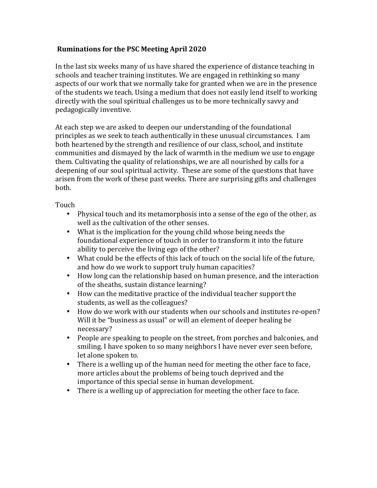## **Ruminations for the PSC Meeting April 2020**

In the last six weeks many of us have shared the experience of distance teaching in schools and teacher training institutes. We are engaged in rethinking so many aspects of our work that we normally take for granted when we are in the presence of the students we teach. Using a medium that does not easily lend itself to working directly with the soul spiritual challenges us to be more technically savvy and pedagogically inventive.

At each step we are asked to deepen our understanding of the foundational principles as we seek to teach authentically in these unusual circumstances. I am both heartened by the strength and resilience of our class, school, and institute communities and dismayed by the lack of warmth in the medium we use to engage them. Cultivating the quality of relationships, we are all nourished by calls for a deepening of our soul spiritual activity. These are some of the questions that have arisen from the work of these past weeks. There are surprising gifts and challenges both.

Touch

- Physical touch and its metamorphosis into a sense of the ego of the other, as well as the cultivation of the other senses.
- What is the implication for the young child whose being needs the foundational experience of touch in order to transform it into the future ability to perceive the living ego of the other?
- What could be the effects of this lack of touch on the social life of the future, and how do we work to support truly human capacities?
- How long can the relationship based on human presence, and the interaction of the sheaths, sustain distance learning?
- How can the meditative practice of the individual teacher support the students, as well as the colleagues?
- How do we work with our students when our schools and institutes re-open? Will it be "business as usual" or will an element of deeper healing be necessary?
- People are speaking to people on the street, from porches and balconies, and smiling. I have spoken to so many neighbors I have never ever seen before, let alone spoken to.
- There is a welling up of the human need for meeting the other face to face, more articles about the problems of being touch deprived and the importance of this special sense in human development.
- There is a welling up of appreciation for meeting the other face to face.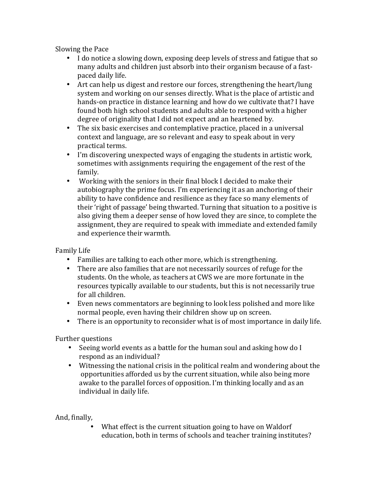Slowing the Pace

- I do notice a slowing down, exposing deep levels of stress and fatigue that so many adults and children just absorb into their organism because of a fastpaced daily life.
- Art can help us digest and restore our forces, strengthening the heart/lung system and working on our senses directly. What is the place of artistic and hands-on practice in distance learning and how do we cultivate that? I have found both high school students and adults able to respond with a higher degree of originality that I did not expect and an heartened by.
- The six basic exercises and contemplative practice, placed in a universal context and language, are so relevant and easy to speak about in very practical terms.
- I'm discovering unexpected ways of engaging the students in artistic work, sometimes with assignments requiring the engagement of the rest of the family.
- Working with the seniors in their final block I decided to make their autobiography the prime focus. I'm experiencing it as an anchoring of their ability to have confidence and resilience as they face so many elements of their 'right of passage' being thwarted. Turning that situation to a positive is also giving them a deeper sense of how loved they are since, to complete the assignment, they are required to speak with immediate and extended family and experience their warmth.

Family Life

- Families are talking to each other more, which is strengthening.
- There are also families that are not necessarily sources of refuge for the students. On the whole, as teachers at CWS we are more fortunate in the resources typically available to our students, but this is not necessarily true for all children.
- Even news commentators are beginning to look less polished and more like normal people, even having their children show up on screen.
- There is an opportunity to reconsider what is of most importance in daily life.

Further questions

- Seeing world events as a battle for the human soul and asking how do I respond as an individual?
- Witnessing the national crisis in the political realm and wondering about the opportunities afforded us by the current situation, while also being more awake to the parallel forces of opposition. I'm thinking locally and as an individual in daily life.

And, finally,

What effect is the current situation going to have on Waldorf education, both in terms of schools and teacher training institutes?